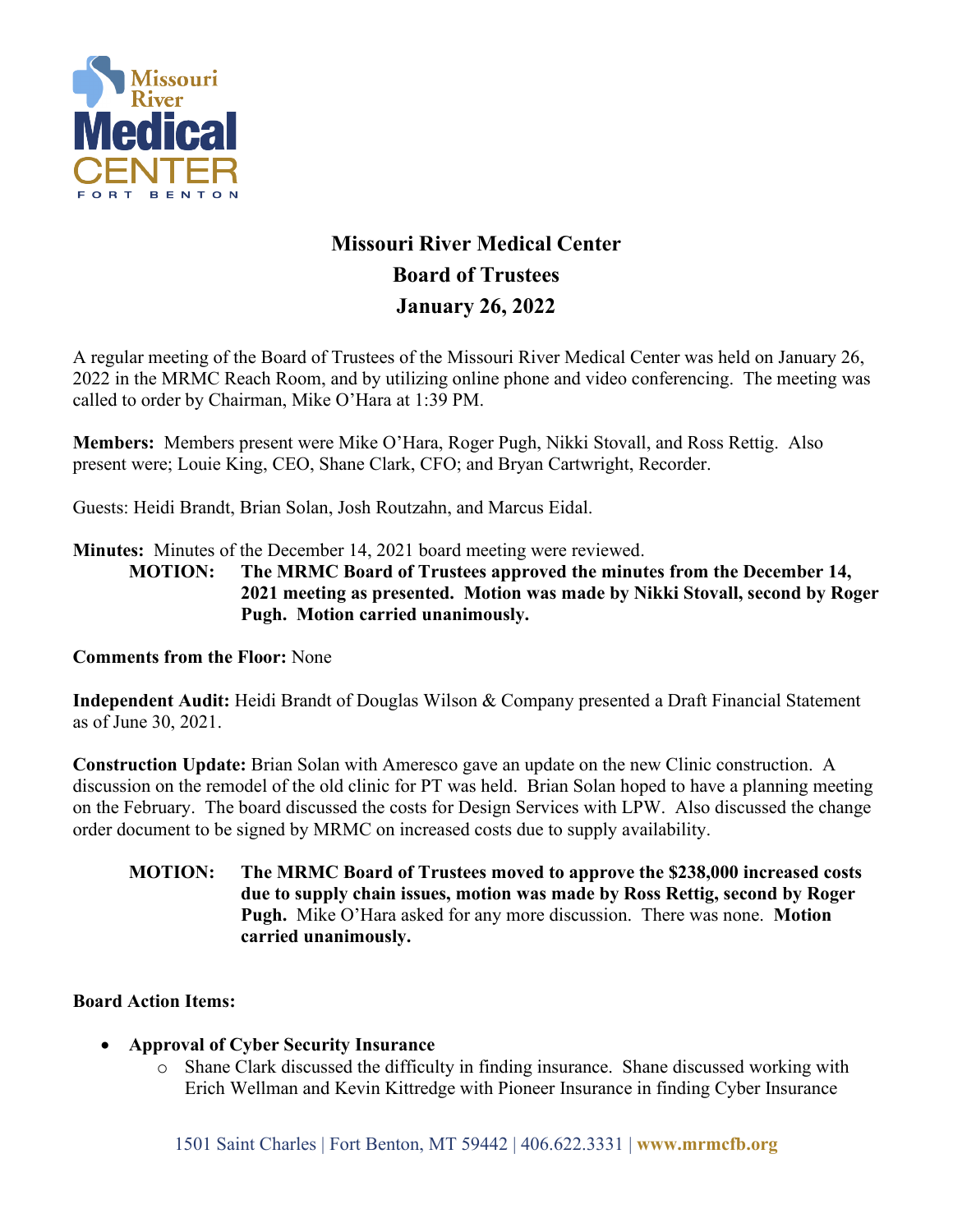

# **Missouri River Medical Center Board of Trustees January 26, 2022**

A regular meeting of the Board of Trustees of the Missouri River Medical Center was held on January 26, 2022 in the MRMC Reach Room, and by utilizing online phone and video conferencing. The meeting was called to order by Chairman, Mike O'Hara at 1:39 PM.

**Members:** Members present were Mike O'Hara, Roger Pugh, Nikki Stovall, and Ross Rettig. Also present were; Louie King, CEO, Shane Clark, CFO; and Bryan Cartwright, Recorder.

Guests: Heidi Brandt, Brian Solan, Josh Routzahn, and Marcus Eidal.

**Minutes:** Minutes of the December 14, 2021 board meeting were reviewed.

**MOTION: The MRMC Board of Trustees approved the minutes from the December 14, 2021 meeting as presented. Motion was made by Nikki Stovall, second by Roger Pugh. Motion carried unanimously.**

#### **Comments from the Floor:** None

**Independent Audit:** Heidi Brandt of Douglas Wilson & Company presented a Draft Financial Statement as of June 30, 2021.

**Construction Update:** Brian Solan with Ameresco gave an update on the new Clinic construction. A discussion on the remodel of the old clinic for PT was held. Brian Solan hoped to have a planning meeting on the February. The board discussed the costs for Design Services with LPW. Also discussed the change order document to be signed by MRMC on increased costs due to supply availability.

**MOTION: The MRMC Board of Trustees moved to approve the \$238,000 increased costs due to supply chain issues, motion was made by Ross Rettig, second by Roger Pugh.** Mike O'Hara asked for any more discussion. There was none. **Motion carried unanimously.**

## **Board Action Items:**

- **Approval of Cyber Security Insurance**
	- o Shane Clark discussed the difficulty in finding insurance. Shane discussed working with Erich Wellman and Kevin Kittredge with Pioneer Insurance in finding Cyber Insurance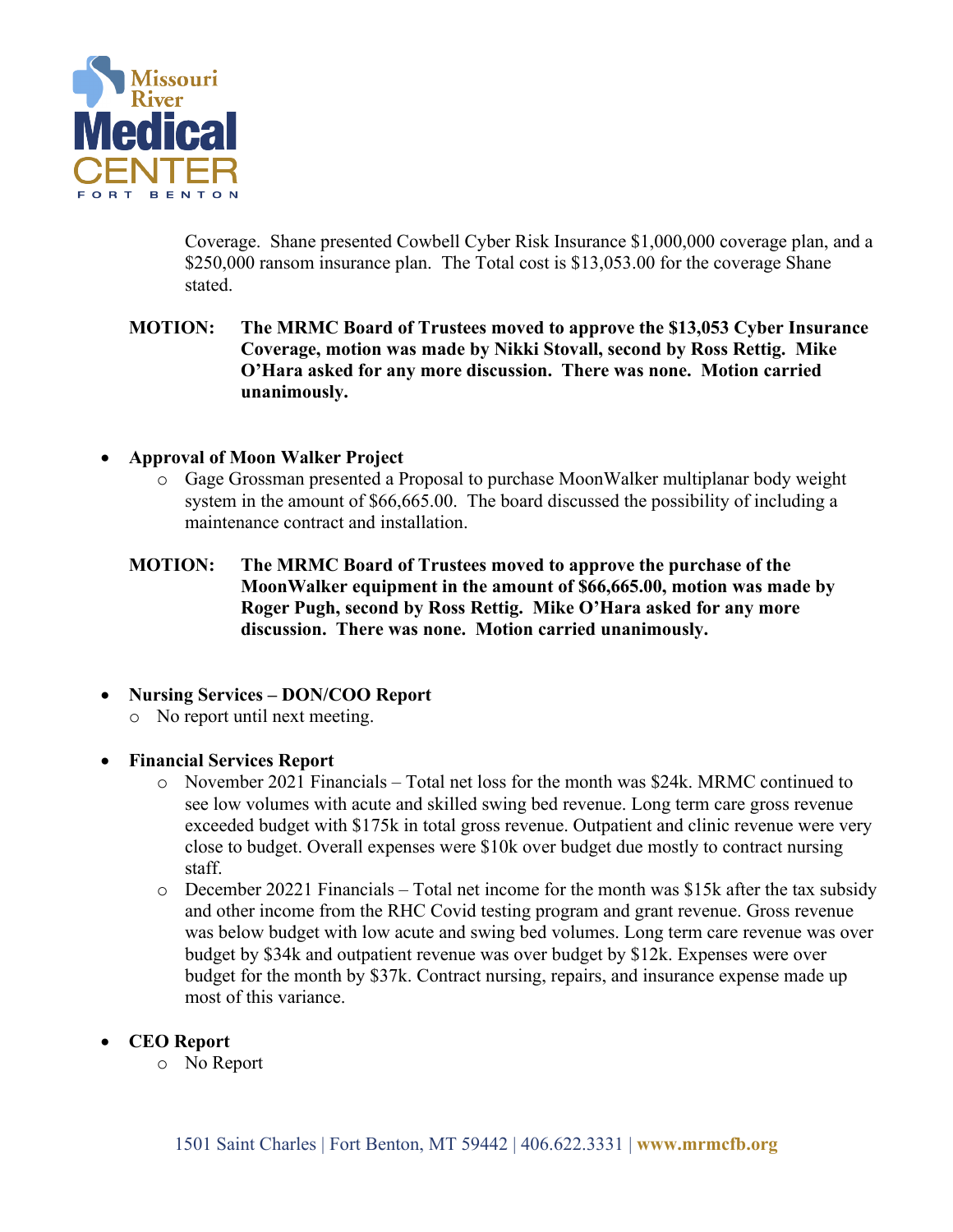

Coverage. Shane presented Cowbell Cyber Risk Insurance \$1,000,000 coverage plan, and a \$250,000 ransom insurance plan. The Total cost is \$13,053.00 for the coverage Shane stated.

## **MOTION: The MRMC Board of Trustees moved to approve the \$13,053 Cyber Insurance Coverage, motion was made by Nikki Stovall, second by Ross Rettig. Mike O'Hara asked for any more discussion. There was none. Motion carried unanimously.**

- **Approval of Moon Walker Project**
	- o Gage Grossman presented a Proposal to purchase MoonWalker multiplanar body weight system in the amount of \$66,665.00. The board discussed the possibility of including a maintenance contract and installation.

## **MOTION: The MRMC Board of Trustees moved to approve the purchase of the MoonWalker equipment in the amount of \$66,665.00, motion was made by Roger Pugh, second by Ross Rettig. Mike O'Hara asked for any more discussion. There was none. Motion carried unanimously.**

## • **Nursing Services – DON/COO Report**

o No report until next meeting.

## • **Financial Services Report**

- o November 2021 Financials Total net loss for the month was \$24k. MRMC continued to see low volumes with acute and skilled swing bed revenue. Long term care gross revenue exceeded budget with \$175k in total gross revenue. Outpatient and clinic revenue were very close to budget. Overall expenses were \$10k over budget due mostly to contract nursing staff.
- o December 20221 Financials Total net income for the month was \$15k after the tax subsidy and other income from the RHC Covid testing program and grant revenue. Gross revenue was below budget with low acute and swing bed volumes. Long term care revenue was over budget by \$34k and outpatient revenue was over budget by \$12k. Expenses were over budget for the month by \$37k. Contract nursing, repairs, and insurance expense made up most of this variance.
- **CEO Report**
	- o No Report